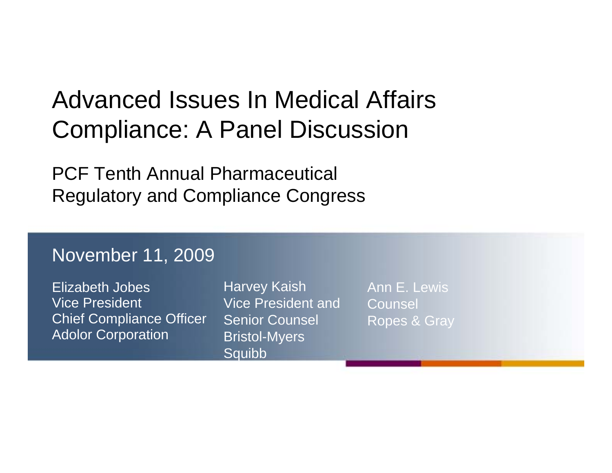#### Advanced Issues In Medical Affairs Compliance: A Panel Discussion

PCF Tenth Annual Pharmaceutical Regulatory and Compliance Congress

#### November 11, 2009

Elizabeth Jobes Vice PresidentChief Compliance Officer Adolor Corporation

**Harvey Kaish** Vice President andSenior Counsel Bristol-Myers **Squibb** 

Ann E. Lewis**Counsel** Ropes & Gray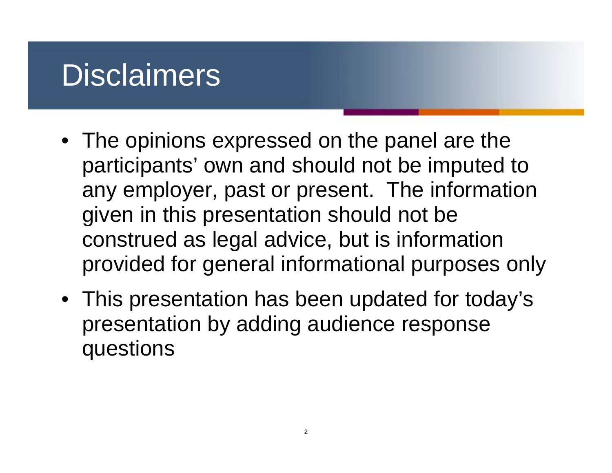#### **Disclaimers**

- The opinions expressed on the panel are the participants' own and should not be imputed to any employer, past or present. The information given in this presentation should not be construed as legal advice, but is information provided for general informational purposes only
- This presentation has been updated for today's presentation by adding audience response questions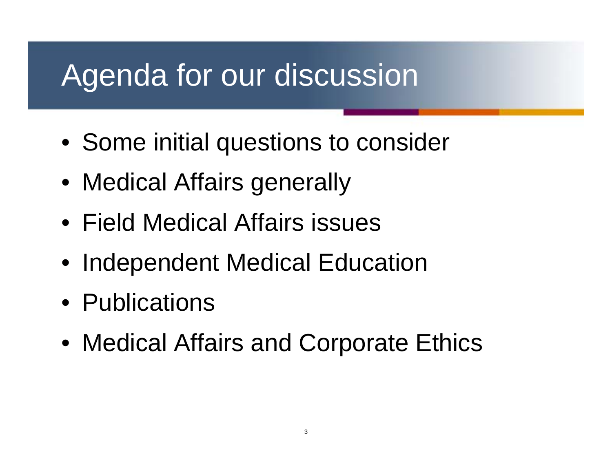## Agenda for our discussion

- Some initial questions to consider
- Medical Affairs generally
- Field Medical Affairs issues
- Independent Medical Education
- Publications
- Medical Affairs and Corporate Ethics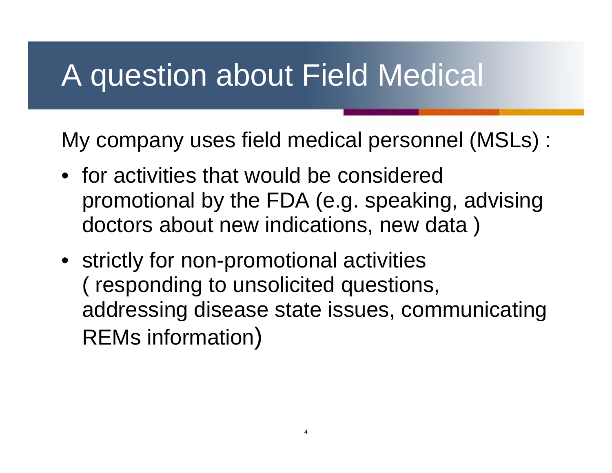#### A question about Field Medical

My company uses field medical personnel (MSLs) :

- for activities that would be considered promotional by the FDA (e.g. speaking, advising doctors about new indications, new data )
- strictly for non-promotional activities ( responding to unsolicited questions, addressing disease state issues, communicating REMs information)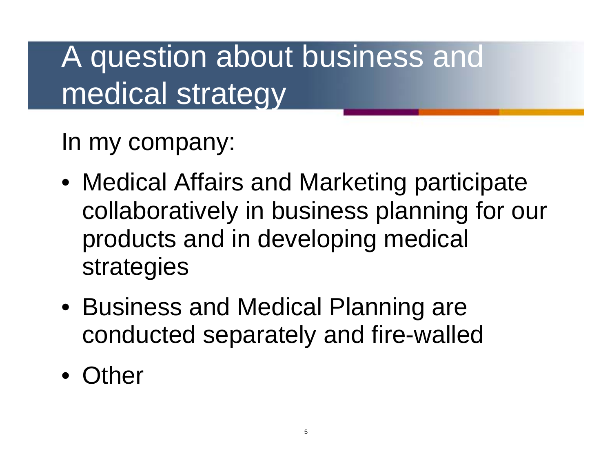## A question about business and medical strategy

In my company:

- Medical Affairs and Marketing participate collaboratively in business planning for our products and in developing medical strategies
- Business and Medical Planning are conducted separately and fire-walled
- Other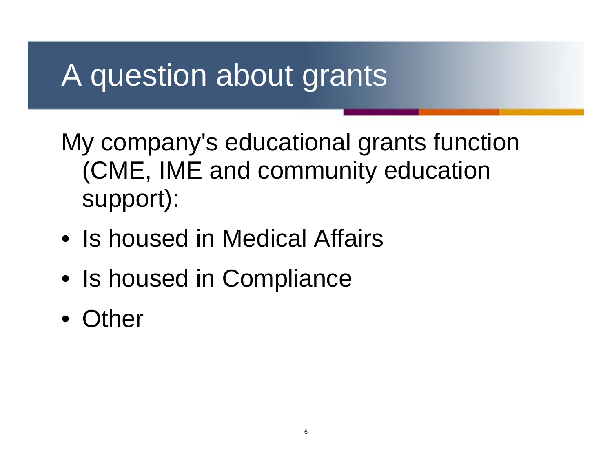## A question about grants

My company's educational grants function (CME, IME and community education support):

- Is housed in Medical Affairs
- Is housed in Compliance
- Other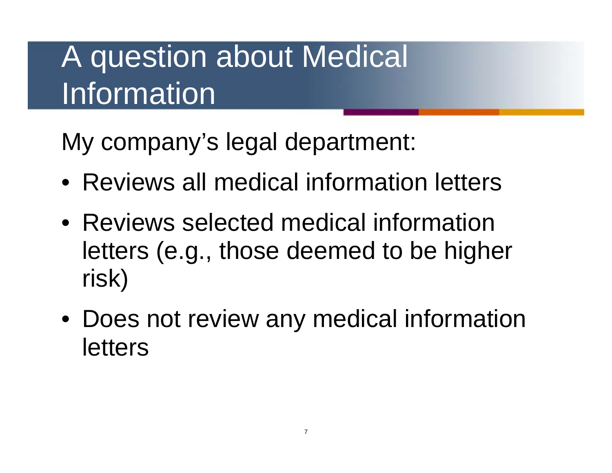# A question about Medical **Information**

My company's legal department:

- Reviews all medical information letters
- Reviews selected medical information letters (e.g., those deemed to be higher risk)
- Does not review any medical information letters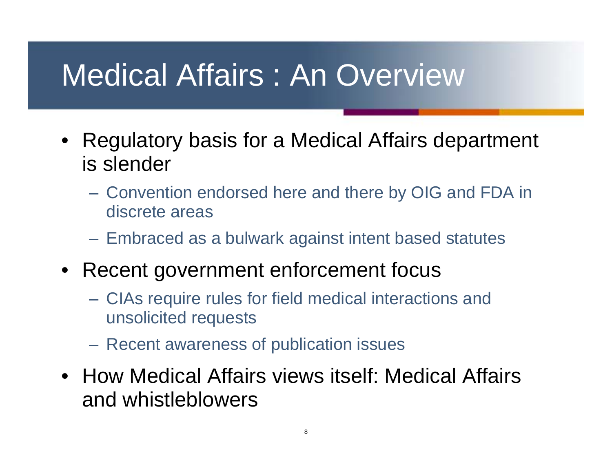## Medical Affairs : An Overview

- Regulatory basis for a Medical Affairs department is slender
	- Convention endorsed here and there by OIG and FDA in discrete areas
	- Embraced as a bulwark against intent based statutes
- Recent government enforcement focus
	- CIAs require rules for field medical interactions and unsolicited requests
	- Recent awareness of publication issues
- How Medical Affairs views itself: Medical Affairs and whistleblowers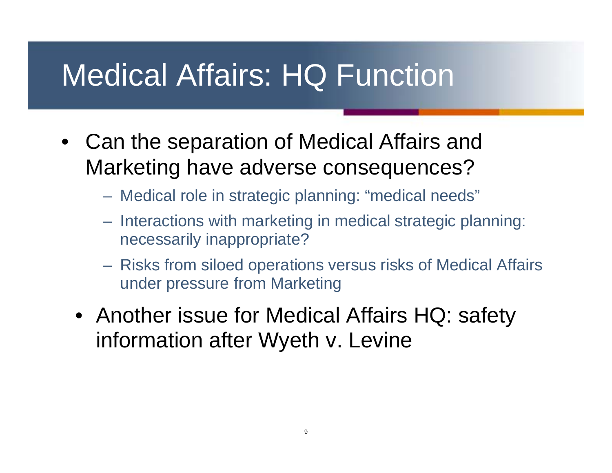## Medical Affairs: HQ Function

- Can the separation of Medical Affairs and Marketing have adverse consequences?
	- Medical role in strategic planning: "medical needs"
	- Interactions with marketing in medical strategic planning: necessarily inappropriate?
	- Risks from siloed operations versus risks of Medical Affairs under pressure from Marketing
	- Another issue for Medical Affairs HQ: safety information after Wyeth v. Levine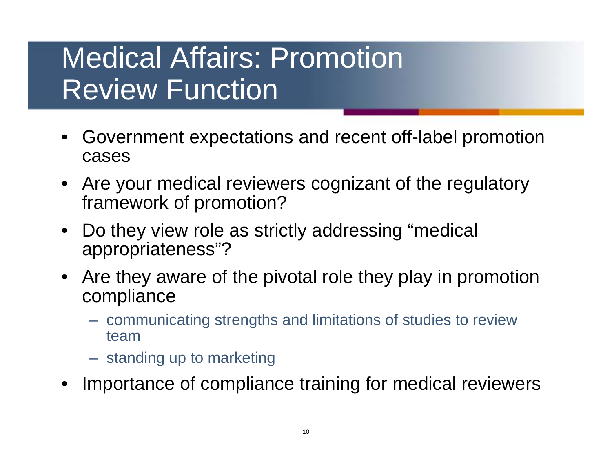#### Medical Affairs: Promotion Review Function

- Government expectations and recent off-label promotion cases
- Are your medical reviewers cognizant of the regulatory framework of promotion?
- Do they view role as strictly addressing "medical appropriateness"?
- Are they aware of the pivotal role they play in promotion compliance
	- communicating strengths and limitations of studies to review team
	- standing up to marketing
- Importance of compliance training for medical reviewers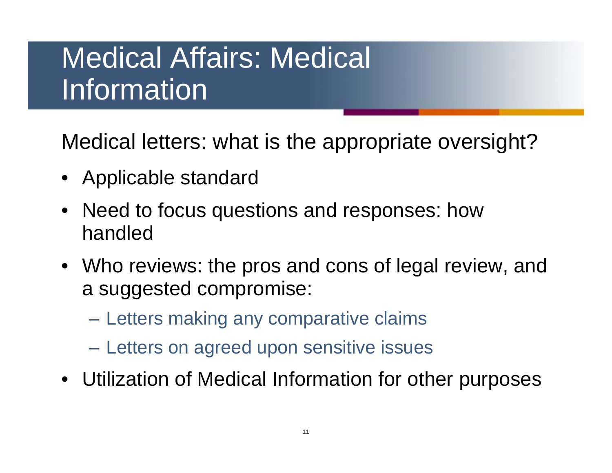#### Medical Affairs: Medical Information

Medical letters: what is the appropriate oversight?

- Applicable standard
- Need to focus questions and responses: how handled
- Who reviews: the pros and cons of legal review, and a suggested compromise:
	- Letters making any comparative claims
	- Letters on agreed upon sensitive issues
- Utilization of Medical Information for other purposes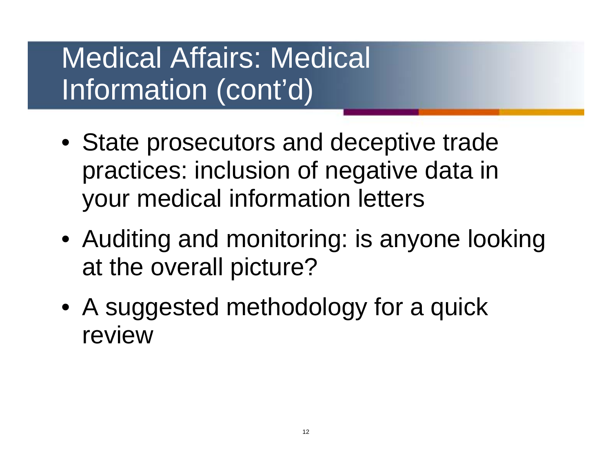#### Medical Affairs: Medical Information (cont'd)

- State prosecutors and deceptive trade practices: inclusion of negative data in your medical information letters
- Auditing and monitoring: is anyone looking at the overall picture?
- A suggested methodology for a quick review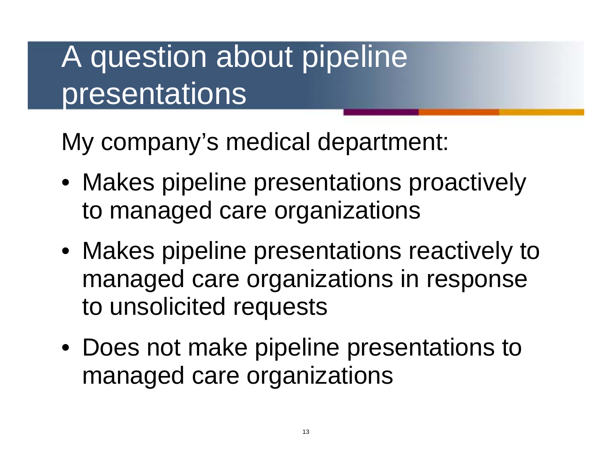## A question about pipeline presentations

My company's medical department:

- Makes pipeline presentations proactively to managed care organizations
- Makes pipeline presentations reactively to managed care organizations in response to unsolicited requests
- Does not make pipeline presentations to managed care organizations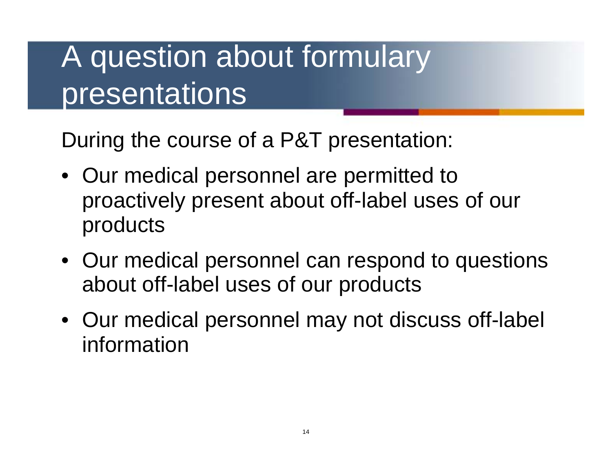## A question about formulary presentations

During the course of a P&T presentation:

- Our medical personnel are permitted to proactively present about off-label uses of our products
- Our medical personnel can respond to questions about off-label uses of our products
- Our medical personnel may not discuss off-label information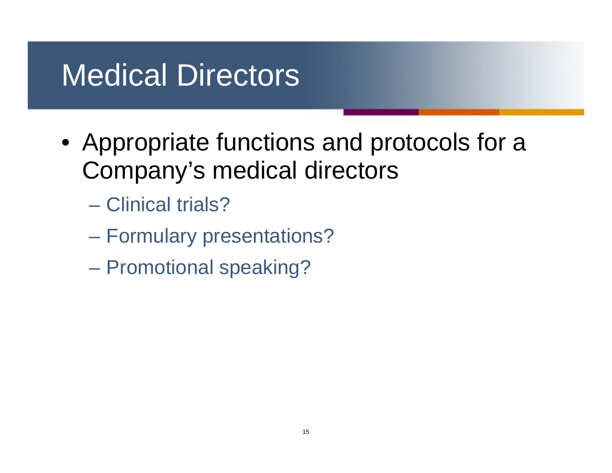## Medical Directors

- Appropriate functions and protocols for a Company's medical directors
	- Clinical trials?
	- Formulary presentations?
	- Promotional speaking?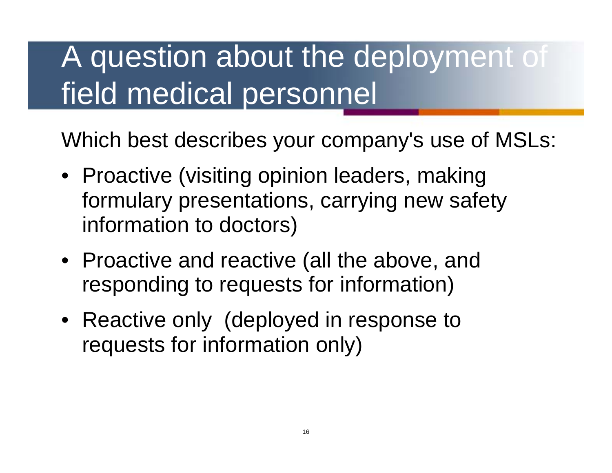# A question about the deployment of field medical personnel

Which best describes your company's use of MSLs:

- Proactive (visiting opinion leaders, making formulary presentations, carrying new safety information to doctors)
- Proactive and reactive (all the above, and responding to requests for information)
- Reactive only (deployed in response to requests for information only)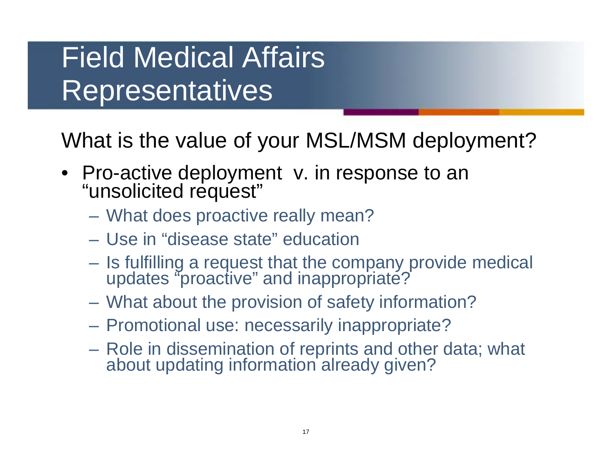#### Field Medical Affairs Representatives

What is the value of your MSL/MSM deployment?

- Pro-active deployment v. in response to an "unsolicited request"
	- What does proactive really mean?
	- Use in "disease state" education
	- Is fulfilling a request that the company provide medical updates "proactive" and inappropriate?
	- What about the provision of safety information?
	- Promotional use: necessarily inappropriate?
	- Role in dissemination of reprints and other data; what about updating information already given?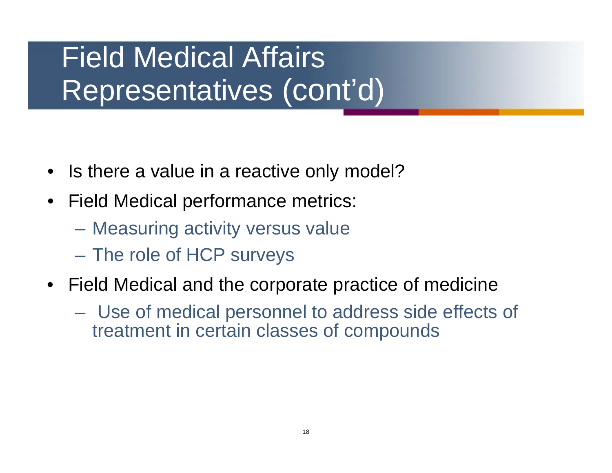#### Field Medical Affairs Representatives (cont'd)

- Is there a value in a reactive only model?
- Field Medical performance metrics:
	- Measuring activity versus value
	- The role of HCP surveys
- Field Medical and the corporate practice of medicine
	- Use of medical personnel to address side effects of treatment in certain classes of compounds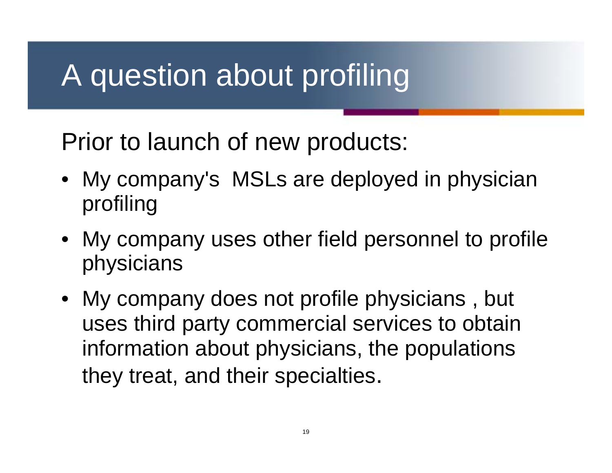## A question about profiling

Prior to launch of new products:

- My company's MSLs are deployed in physician profiling
- My company uses other field personnel to profile physicians
- My company does not profile physicians , but uses third party commercial services to obtain information about physicians, the populations they treat, and their specialties.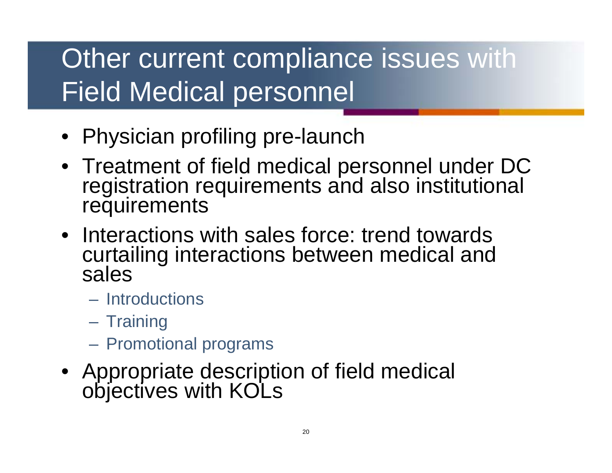#### Other current compliance issues with Field Medical personnel

- Physician profiling pre-launch
- Treatment of field medical personnel under DC registration requirements and also institutional requirements
- Interactions with sales force: trend towards curtailing interactions between medical and sales
	- Introductions
	- Training
	- Promotional programs
- Appropriate description of field medical objectives with KOLs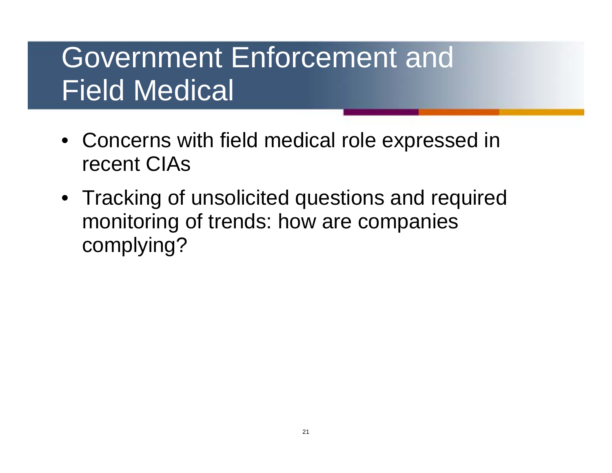#### Government Enforcement and Field Medical

- Concerns with field medical role expressed in recent CIAs
- Tracking of unsolicited questions and required monitoring of trends: how are companies complying?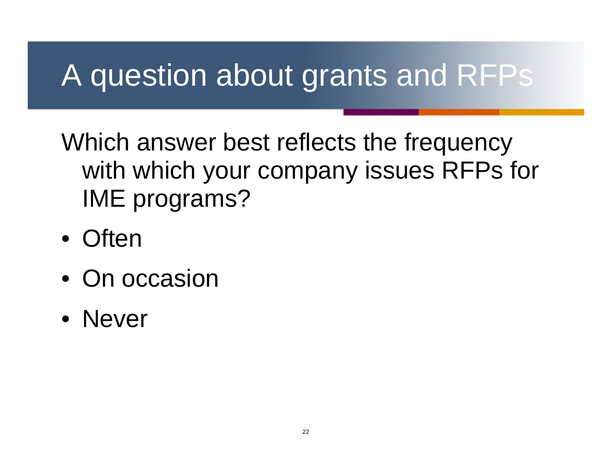## A question about grants and RFPs

Which answer best reflects the frequency with which your company issues RFPs for IME programs?

- Often
- On occasion
- Never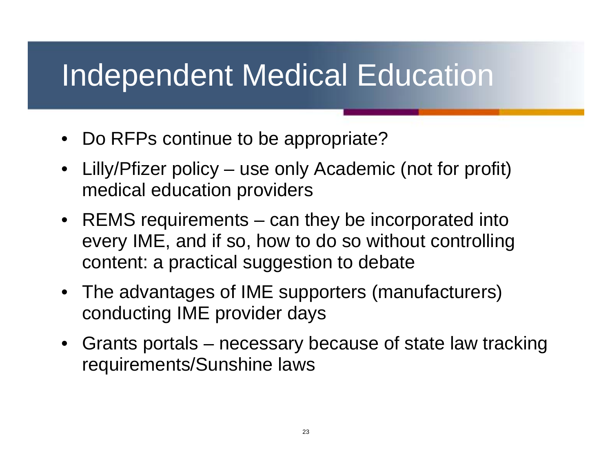#### Independent Medical Education

- Do RFPs continue to be appropriate?
- Lilly/Pfizer policy use only Academic (not for profit) medical education providers
- REMS requirements can they be incorporated into every IME, and if so, how to do so without controlling content: a practical suggestion to debate
- The advantages of IME supporters (manufacturers) conducting IME provider days
- Grants portals necessary because of state law tracking requirements/Sunshine laws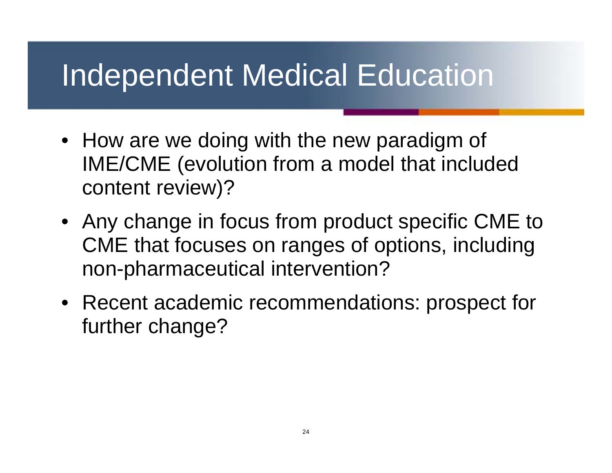#### Independent Medical Education

- How are we doing with the new paradigm of IME/CME (evolution from a model that included content review)?
- Any change in focus from product specific CME to CME that focuses on ranges of options, including non-pharmaceutical intervention?
- Recent academic recommendations: prospect for further change?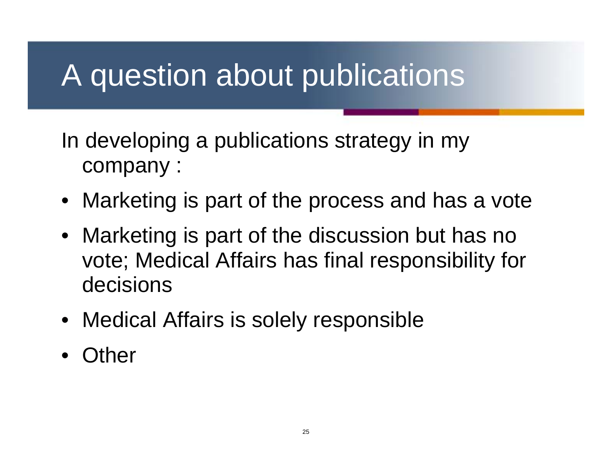#### A question about publications

In developing a publications strategy in my company :

- Marketing is part of the process and has a vote
- Marketing is part of the discussion but has no vote; Medical Affairs has final responsibility for decisions
- Medical Affairs is solely responsible
- **Other**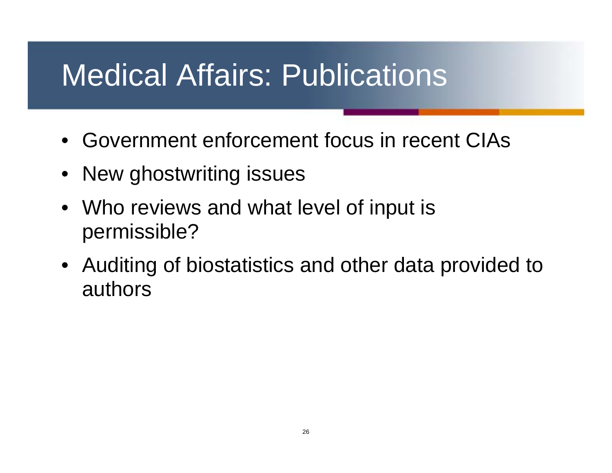## Medical Affairs: Publications

- Government enforcement focus in recent CIAs
- New ghostwriting issues
- Who reviews and what level of input is permissible?
- Auditing of biostatistics and other data provided to authors